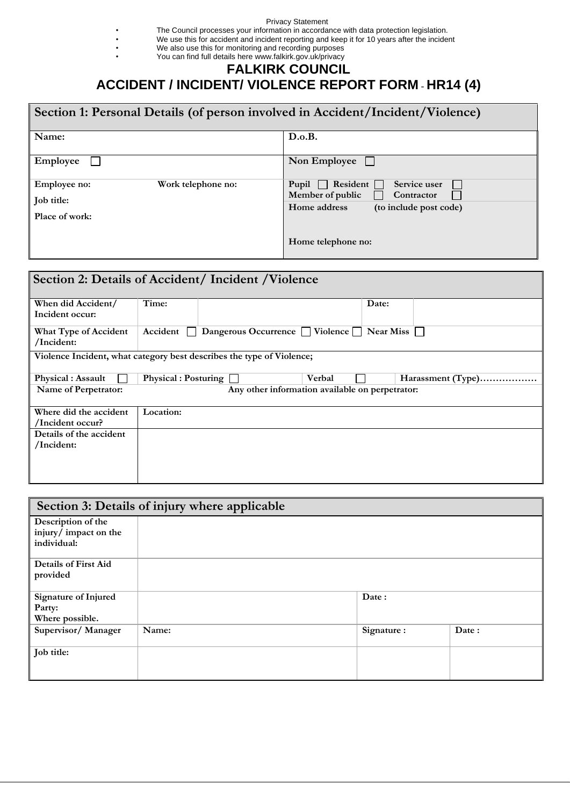## Privacy Statement

• The Council processes your information in accordance with data protection legislation.

- We use this for accident and incident reporting and keep it for 10 years after the incident
- We also use this for monitoring and recording purposes

## • You can find full details here www.falkirk.gov.uk/privacy

## **FALKIRK COUNCIL ACCIDENT / INCIDENT/ VIOLENCE REPORT FORM** - **HR14 (4)**

| Section 1: Personal Details (of person involved in Accident/Incident/Violence) |                                                                     |  |  |
|--------------------------------------------------------------------------------|---------------------------------------------------------------------|--|--|
| Name:                                                                          | D.o.B.                                                              |  |  |
| Employee                                                                       | Non Employee                                                        |  |  |
| Work telephone no:<br><b>Employee no:</b>                                      | Service user<br>Resident<br>Pupil<br>Member of public<br>Contractor |  |  |
| Job title:                                                                     | Home address<br>(to include post code)                              |  |  |
| Place of work:                                                                 |                                                                     |  |  |
|                                                                                | Home telephone no:                                                  |  |  |

| Section 2: Details of Accident/Incident/Violence |                                                                       |  |                                   |                  |                   |
|--------------------------------------------------|-----------------------------------------------------------------------|--|-----------------------------------|------------------|-------------------|
| When did Accident/<br>Incident occur:            | Time:                                                                 |  |                                   | Date:            |                   |
| What Type of Accident<br>/Incident:              | Accident                                                              |  | Dangerous Occurrence     Violence | <b>Near Miss</b> |                   |
|                                                  | Violence Incident, what category best describes the type of Violence; |  |                                   |                  |                   |
| <b>Physical : Assault</b>                        | <b>Physical : Posturing</b>                                           |  | Verbal                            |                  | Harassment (Type) |
| Name of Perpetrator:                             | Any other information available on perpetrator:                       |  |                                   |                  |                   |
| Where did the accident                           | Location:                                                             |  |                                   |                  |                   |
| /Incident occur?                                 |                                                                       |  |                                   |                  |                   |
| Details of the accident                          |                                                                       |  |                                   |                  |                   |
| /Incident:                                       |                                                                       |  |                                   |                  |                   |
|                                                  |                                                                       |  |                                   |                  |                   |
|                                                  |                                                                       |  |                                   |                  |                   |
|                                                  |                                                                       |  |                                   |                  |                   |

| Section 3: Details of injury where applicable |       |            |       |
|-----------------------------------------------|-------|------------|-------|
| Description of the                            |       |            |       |
| injury/impact on the                          |       |            |       |
| individual:                                   |       |            |       |
| <b>Details of First Aid</b>                   |       |            |       |
| provided                                      |       |            |       |
| Signature of Injured                          |       | Date:      |       |
| Party:                                        |       |            |       |
| Where possible.                               |       |            |       |
| Supervisor/Manager                            | Name: | Signature: | Date: |
| Job title:                                    |       |            |       |
|                                               |       |            |       |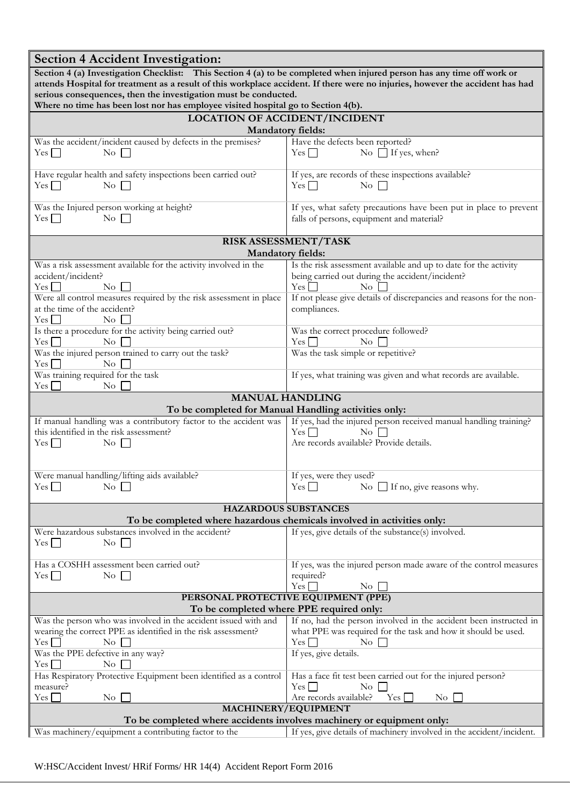| <b>Section 4 Accident Investigation:</b>                                                                                                                                                          |                                                                                                                                                               |  |  |
|---------------------------------------------------------------------------------------------------------------------------------------------------------------------------------------------------|---------------------------------------------------------------------------------------------------------------------------------------------------------------|--|--|
| Section 4 (a) Investigation Checklist: This Section 4 (a) to be completed when injured person has any time off work or                                                                            |                                                                                                                                                               |  |  |
| attends Hospital for treatment as a result of this workplace accident. If there were no injuries, however the accident has had<br>serious consequences, then the investigation must be conducted. |                                                                                                                                                               |  |  |
| Where no time has been lost nor has employee visited hospital go to Section 4(b).                                                                                                                 |                                                                                                                                                               |  |  |
|                                                                                                                                                                                                   | <b>LOCATION OF ACCIDENT/INCIDENT</b><br><b>Mandatory fields:</b>                                                                                              |  |  |
| Was the accident/incident caused by defects in the premises?                                                                                                                                      | Have the defects been reported?                                                                                                                               |  |  |
| $Yes \Box$<br>$\overline{N_0}$                                                                                                                                                                    | No $\Box$ If yes, when?<br>$Yes \Box$                                                                                                                         |  |  |
| Have regular health and safety inspections been carried out?<br>$Yes \Box$<br>$\rm No$ $\Box$                                                                                                     | If yes, are records of these inspections available?<br>$Yes \Box$<br>$\overline{N_{0}}$                                                                       |  |  |
| Was the Injured person working at height?<br>$\overline{N_0}$<br>$Yes$ $\Box$                                                                                                                     | If yes, what safety precautions have been put in place to prevent<br>falls of persons, equipment and material?                                                |  |  |
|                                                                                                                                                                                                   | RISK ASSESSMENT/TASK                                                                                                                                          |  |  |
|                                                                                                                                                                                                   | <b>Mandatory fields:</b>                                                                                                                                      |  |  |
| Was a risk assessment available for the activity involved in the<br>accident/incident?<br>$Yes$ $\Box$<br>$\overline{N_{0}}$                                                                      | Is the risk assessment available and up to date for the activity<br>being carried out during the accident/incident?<br>$Yes \Box$<br>$\rm No$                 |  |  |
| Were all control measures required by the risk assessment in place                                                                                                                                | If not please give details of discrepancies and reasons for the non-                                                                                          |  |  |
| at the time of the accident?<br>$Yes$ $\Box$<br>$\overline{N_{O}}$                                                                                                                                | compliances.                                                                                                                                                  |  |  |
| Is there a procedure for the activity being carried out?                                                                                                                                          | Was the correct procedure followed?                                                                                                                           |  |  |
| $Yes \Box$<br>$\rm No$<br>Was the injured person trained to carry out the task?                                                                                                                   | $\overline{N_{0}}$<br>$Yes$ $\Box$<br>Was the task simple or repetitive?                                                                                      |  |  |
| $Yes$ $\Box$<br>$\overline{N_{O}}$                                                                                                                                                                |                                                                                                                                                               |  |  |
| Was training required for the task<br>$Yes$ $\Box$<br>$\rm No$                                                                                                                                    | If yes, what training was given and what records are available.                                                                                               |  |  |
|                                                                                                                                                                                                   | <b>MANUAL HANDLING</b>                                                                                                                                        |  |  |
| If manual handling was a contributory factor to the accident was                                                                                                                                  | To be completed for Manual Handling activities only:<br>If yes, had the injured person received manual handling training?                                     |  |  |
| this identified in the risk assessment?                                                                                                                                                           | $\overline{N_{0}}$<br>$Yes \Box$                                                                                                                              |  |  |
| $Yes \Box$<br>$\overline{N_{0}}$ $\Box$                                                                                                                                                           | Are records available? Provide details.                                                                                                                       |  |  |
|                                                                                                                                                                                                   |                                                                                                                                                               |  |  |
| Were manual handling/lifting aids available?                                                                                                                                                      | If yes, were they used?                                                                                                                                       |  |  |
| $Yes$ $\Box$<br>$\rm{No}$                                                                                                                                                                         | No $\Box$ If no, give reasons why.<br>Yes                                                                                                                     |  |  |
|                                                                                                                                                                                                   | <b>HAZARDOUS SUBSTANCES</b>                                                                                                                                   |  |  |
|                                                                                                                                                                                                   | To be completed where hazardous chemicals involved in activities only:<br>If yes, give details of the substance(s) involved.                                  |  |  |
| Were hazardous substances involved in the accident?<br>$\overline{\text{No}}$<br>$Yes$ $\Box$                                                                                                     |                                                                                                                                                               |  |  |
| Has a COSHH assessment been carried out?                                                                                                                                                          | If yes, was the injured person made aware of the control measures                                                                                             |  |  |
| $Yes$ $\Box$<br>$\overline{N_{0}}$                                                                                                                                                                | required?<br>$Yes \_$<br>$\overline{N_{0}}$                                                                                                                   |  |  |
|                                                                                                                                                                                                   | PERSONAL PROTECTIVE EQUIPMENT (PPE)                                                                                                                           |  |  |
| To be completed where PPE required only:                                                                                                                                                          |                                                                                                                                                               |  |  |
| Was the person who was involved in the accident issued with and<br>wearing the correct PPE as identified in the risk assessment?<br>$Yes$ $\Box$<br>No                                            | If no, had the person involved in the accident been instructed in<br>what PPE was required for the task and how it should be used.<br>$Yes \Box$<br>$\rm{No}$ |  |  |
| Was the PPE defective in any way?<br>$Yes$ $\Box$<br>$\rm No$                                                                                                                                     | If yes, give details.                                                                                                                                         |  |  |
| Has Respiratory Protective Equipment been identified as a control<br>Has a face fit test been carried out for the injured person?                                                                 |                                                                                                                                                               |  |  |
| measure?<br>$Yes \Box$<br>$\rm No$<br>Are records available?<br>Yes [<br>N <sub>o</sub><br>Yes  <br>$\rm No$                                                                                      |                                                                                                                                                               |  |  |
| MACHINERY/EQUIPMENT                                                                                                                                                                               |                                                                                                                                                               |  |  |
| To be completed where accidents involves machinery or equipment only:                                                                                                                             |                                                                                                                                                               |  |  |
| Was machinery/equipment a contributing factor to the<br>If yes, give details of machinery involved in the accident/incident.                                                                      |                                                                                                                                                               |  |  |

W:HSC/Accident Invest/ HRif Forms/ HR 14(4) Accident Report Form 2016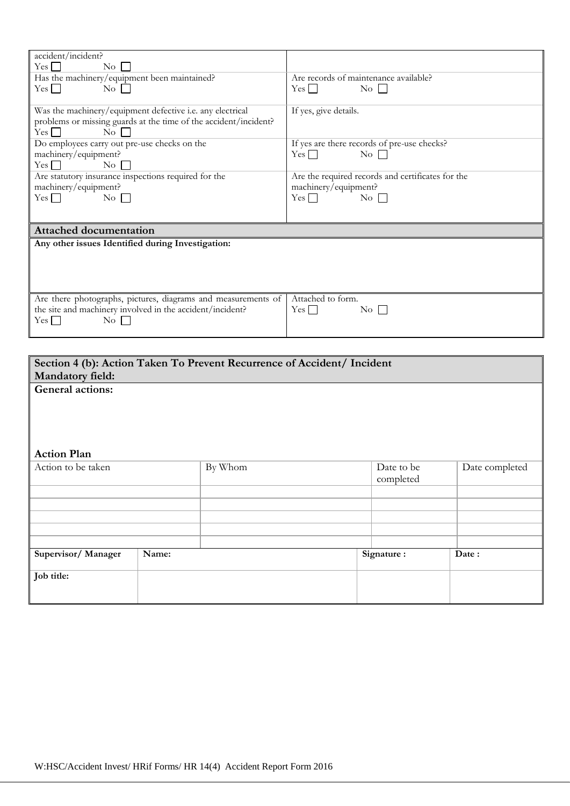| accident/incident?                                               |                                                   |
|------------------------------------------------------------------|---------------------------------------------------|
| Yes<br>$\overline{N}_{O}$                                        |                                                   |
| Has the machinery/equipment been maintained?                     | Are records of maintenance available?             |
| $\overline{N_0}$    <br>$Yes$ $\Box$                             | $Yes \mid \mid$<br>$\overline{N_0}$               |
|                                                                  |                                                   |
| Was the machinery/equipment defective i.e. any electrical        | If yes, give details.                             |
| problems or missing guards at the time of the accident/incident? |                                                   |
| $Yes \Box$<br>$\overline{N_0}$                                   |                                                   |
|                                                                  |                                                   |
| Do employees carry out pre-use checks on the                     | If yes are there records of pre-use checks?       |
| machinery/equipment?                                             | Yes $\Box$<br>$\overline{N_0}$                    |
| $Yes$ $\Box$<br>$\rm No$                                         |                                                   |
| Are statutory insurance inspections required for the             | Are the required records and certificates for the |
| machinery/equipment?                                             | machinery/equipment?                              |
| $\overline{N_0}$<br>Yes                                          | $Yes \Box$<br>$\overline{N_{0}}$                  |
|                                                                  |                                                   |
|                                                                  |                                                   |
| <b>Attached documentation</b>                                    |                                                   |
|                                                                  |                                                   |
| Any other issues Identified during Investigation:                |                                                   |
|                                                                  |                                                   |
|                                                                  |                                                   |
|                                                                  |                                                   |
|                                                                  |                                                   |
|                                                                  |                                                   |
| Are there photographs, pictures, diagrams and measurements of    | Attached to form.                                 |
| the site and machinery involved in the accident/incident?        | $Yes$  <br>$\overline{N_{O}}$                     |
| Yes  <br>$\rm No$                                                |                                                   |
|                                                                  |                                                   |
|                                                                  |                                                   |

| Section 4 (b): Action Taken To Prevent Recurrence of Accident/ Incident |       |         |  |            |                |
|-------------------------------------------------------------------------|-------|---------|--|------------|----------------|
| <b>Mandatory field:</b>                                                 |       |         |  |            |                |
| General actions:                                                        |       |         |  |            |                |
|                                                                         |       |         |  |            |                |
|                                                                         |       |         |  |            |                |
|                                                                         |       |         |  |            |                |
|                                                                         |       |         |  |            |                |
| <b>Action Plan</b>                                                      |       |         |  |            |                |
| Action to be taken                                                      |       | By Whom |  | Date to be | Date completed |
|                                                                         |       |         |  | completed  |                |
|                                                                         |       |         |  |            |                |
|                                                                         |       |         |  |            |                |
|                                                                         |       |         |  |            |                |
|                                                                         |       |         |  |            |                |
|                                                                         |       |         |  |            |                |
| Supervisor/Manager                                                      | Name: |         |  | Signature: | Date:          |
|                                                                         |       |         |  |            |                |
| Job title:                                                              |       |         |  |            |                |
|                                                                         |       |         |  |            |                |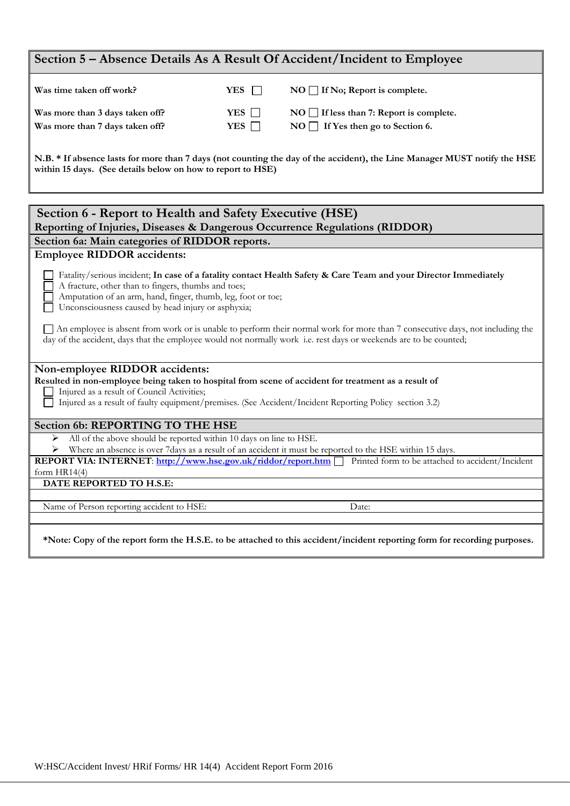| Section 5 - Absence Details As A Result Of Accident/Incident to Employee                                                                                                                                                                                                                                                                                                                                                                                                                                                                            |            |                                                                                                                           |  |  |
|-----------------------------------------------------------------------------------------------------------------------------------------------------------------------------------------------------------------------------------------------------------------------------------------------------------------------------------------------------------------------------------------------------------------------------------------------------------------------------------------------------------------------------------------------------|------------|---------------------------------------------------------------------------------------------------------------------------|--|--|
| Was time taken off work?                                                                                                                                                                                                                                                                                                                                                                                                                                                                                                                            | YES        | $NO \square$ If No; Report is complete.                                                                                   |  |  |
| Was more than 3 days taken off?                                                                                                                                                                                                                                                                                                                                                                                                                                                                                                                     | YES        | $NO$ If less than 7: Report is complete.                                                                                  |  |  |
| Was more than 7 days taken off?                                                                                                                                                                                                                                                                                                                                                                                                                                                                                                                     | YES $\Box$ | NO If Yes then go to Section 6.                                                                                           |  |  |
| within 15 days. (See details below on how to report to HSE)                                                                                                                                                                                                                                                                                                                                                                                                                                                                                         |            | N.B. * If absence lasts for more than 7 days (not counting the day of the accident), the Line Manager MUST notify the HSE |  |  |
| Section 6 - Report to Health and Safety Executive (HSE)                                                                                                                                                                                                                                                                                                                                                                                                                                                                                             |            |                                                                                                                           |  |  |
| Reporting of Injuries, Diseases & Dangerous Occurrence Regulations (RIDDOR)                                                                                                                                                                                                                                                                                                                                                                                                                                                                         |            |                                                                                                                           |  |  |
| Section 6a: Main categories of RIDDOR reports.                                                                                                                                                                                                                                                                                                                                                                                                                                                                                                      |            |                                                                                                                           |  |  |
| <b>Employee RIDDOR</b> accidents:                                                                                                                                                                                                                                                                                                                                                                                                                                                                                                                   |            |                                                                                                                           |  |  |
| Fatality/serious incident; In case of a fatality contact Health Safety & Care Team and your Director Immediately<br>A fracture, other than to fingers, thumbs and toes;<br>Amputation of an arm, hand, finger, thumb, leg, foot or toe;<br>Unconsciousness caused by head injury or asphyxia;<br>An employee is absent from work or is unable to perform their normal work for more than 7 consecutive days, not including the<br>day of the accident, days that the employee would not normally work i.e. rest days or weekends are to be counted; |            |                                                                                                                           |  |  |
| Non-employee RIDDOR accidents:<br>Resulted in non-employee being taken to hospital from scene of accident for treatment as a result of                                                                                                                                                                                                                                                                                                                                                                                                              |            |                                                                                                                           |  |  |
| Injured as a result of Council Activities;                                                                                                                                                                                                                                                                                                                                                                                                                                                                                                          |            |                                                                                                                           |  |  |
| Injured as a result of faulty equipment/premises. (See Accident/Incident Reporting Policy section 3.2)                                                                                                                                                                                                                                                                                                                                                                                                                                              |            |                                                                                                                           |  |  |
| Section 6b: REPORTING TO THE HSE                                                                                                                                                                                                                                                                                                                                                                                                                                                                                                                    |            |                                                                                                                           |  |  |
| All of the above should be reported within 10 days on line to HSE.<br>➤                                                                                                                                                                                                                                                                                                                                                                                                                                                                             |            |                                                                                                                           |  |  |
| Where an absence is over 7days as a result of an accident it must be reported to the HSE within 15 days.<br>➤                                                                                                                                                                                                                                                                                                                                                                                                                                       |            |                                                                                                                           |  |  |
| <b>REPORT VIA: INTERNET:</b> http://www.hse.gov.uk/riddor/report.htm Printed form to be attached to accident/Incident<br>form $HR14(4)$                                                                                                                                                                                                                                                                                                                                                                                                             |            |                                                                                                                           |  |  |
| DATE REPORTED TO H.S.E:                                                                                                                                                                                                                                                                                                                                                                                                                                                                                                                             |            |                                                                                                                           |  |  |
|                                                                                                                                                                                                                                                                                                                                                                                                                                                                                                                                                     |            |                                                                                                                           |  |  |
| Name of Person reporting accident to HSE:                                                                                                                                                                                                                                                                                                                                                                                                                                                                                                           |            | Date:                                                                                                                     |  |  |
| *Note: Copy of the report form the H.S.E. to be attached to this accident/incident reporting form for recording purposes.                                                                                                                                                                                                                                                                                                                                                                                                                           |            |                                                                                                                           |  |  |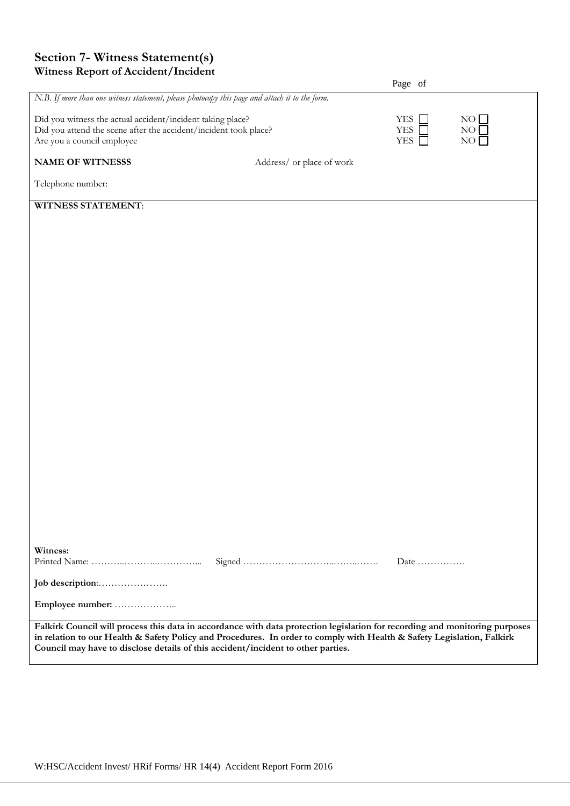## **Section 7- Witness Statement(s) Witness Report of Accident/Incident**

|                                                                                                                                                              |                                                                                                                             | Page of                                |                       |
|--------------------------------------------------------------------------------------------------------------------------------------------------------------|-----------------------------------------------------------------------------------------------------------------------------|----------------------------------------|-----------------------|
| N.B. If more than one witness statement, please photocopy this page and attach it to the form.                                                               |                                                                                                                             |                                        |                       |
| Did you witness the actual accident/incident taking place?<br>Did you attend the scene after the accident/incident took place?<br>Are you a council employee |                                                                                                                             | <b>YES</b><br><b>YES</b><br><b>YES</b> | NO<br>NO.<br>$\rm NO$ |
| <b>NAME OF WITNESSS</b>                                                                                                                                      | Address/ or place of work                                                                                                   |                                        |                       |
| Telephone number:                                                                                                                                            |                                                                                                                             |                                        |                       |
| <b>WITNESS STATEMENT:</b>                                                                                                                                    |                                                                                                                             |                                        |                       |
|                                                                                                                                                              |                                                                                                                             |                                        |                       |
|                                                                                                                                                              |                                                                                                                             |                                        |                       |
|                                                                                                                                                              |                                                                                                                             |                                        |                       |
|                                                                                                                                                              |                                                                                                                             |                                        |                       |
|                                                                                                                                                              |                                                                                                                             |                                        |                       |
|                                                                                                                                                              |                                                                                                                             |                                        |                       |
|                                                                                                                                                              |                                                                                                                             |                                        |                       |
|                                                                                                                                                              |                                                                                                                             |                                        |                       |
|                                                                                                                                                              |                                                                                                                             |                                        |                       |
|                                                                                                                                                              |                                                                                                                             |                                        |                       |
|                                                                                                                                                              |                                                                                                                             |                                        |                       |
|                                                                                                                                                              |                                                                                                                             |                                        |                       |
|                                                                                                                                                              |                                                                                                                             |                                        |                       |
|                                                                                                                                                              |                                                                                                                             |                                        |                       |
|                                                                                                                                                              |                                                                                                                             |                                        |                       |
|                                                                                                                                                              |                                                                                                                             |                                        |                       |
|                                                                                                                                                              |                                                                                                                             |                                        |                       |
|                                                                                                                                                              |                                                                                                                             |                                        |                       |
|                                                                                                                                                              |                                                                                                                             |                                        |                       |
|                                                                                                                                                              |                                                                                                                             |                                        |                       |
| Witness:                                                                                                                                                     |                                                                                                                             | Date $\dots\dots\dots\dots\dots$       |                       |
|                                                                                                                                                              |                                                                                                                             |                                        |                       |
| Employee number:                                                                                                                                             |                                                                                                                             |                                        |                       |
|                                                                                                                                                              | Falkirk Council will process this data in accordance with data protection legislation for recording and monitoring purposes |                                        |                       |
| Council may have to disclose details of this accident/incident to other parties.                                                                             | in relation to our Health & Safety Policy and Procedures. In order to comply with Health & Safety Legislation, Falkirk      |                                        |                       |